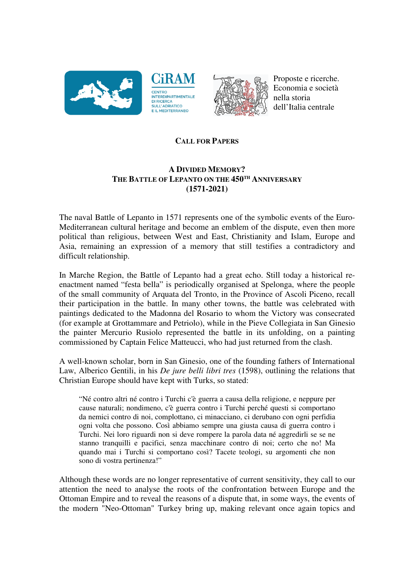





Proposte e ricerche. Economia e società nella storia dell'Italia centrale

## **CALL FOR PAPERS**

## **A DIVIDED MEMORY? THE BATTLE OF LEPANTO ON THE 450TH ANNIVERSARY (1571-2021)**

The naval Battle of Lepanto in 1571 represents one of the symbolic events of the Euro-Mediterranean cultural heritage and become an emblem of the dispute, even then more political than religious, between West and East, Christianity and Islam, Europe and Asia, remaining an expression of a memory that still testifies a contradictory and difficult relationship.

In Marche Region, the Battle of Lepanto had a great echo. Still today a historical reenactment named "festa bella" is periodically organised at Spelonga, where the people of the small community of Arquata del Tronto, in the Province of Ascoli Piceno, recall their participation in the battle. In many other towns, the battle was celebrated with paintings dedicated to the Madonna del Rosario to whom the Victory was consecrated (for example at Grottammare and Petriolo), while in the Pieve Collegiata in San Ginesio the painter Mercurio Rusiolo represented the battle in its unfolding, on a painting commissioned by Captain Felice Matteucci, who had just returned from the clash.

A well-known scholar, born in San Ginesio, one of the founding fathers of International Law, Alberico Gentili, in his *De jure belli libri tres* (1598), outlining the relations that Christian Europe should have kept with Turks, so stated:

"Né contro altri né contro i Turchi c'è guerra a causa della religione, e neppure per cause naturali; nondimeno, c'è guerra contro i Turchi perché questi si comportano da nemici contro di noi, complottano, ci minacciano, ci derubano con ogni perfidia ogni volta che possono. Così abbiamo sempre una giusta causa di guerra contro i Turchi. Nei loro riguardi non si deve rompere la parola data né aggredirli se se ne stanno tranquilli e pacifici, senza macchinare contro di noi; certo che no! Ma quando mai i Turchi si comportano così? Tacete teologi, su argomenti che non sono di vostra pertinenza!"

Although these words are no longer representative of current sensitivity, they call to our attention the need to analyse the roots of the confrontation between Europe and the Ottoman Empire and to reveal the reasons of a dispute that, in some ways, the events of the modern "Neo-Ottoman" Turkey bring up, making relevant once again topics and